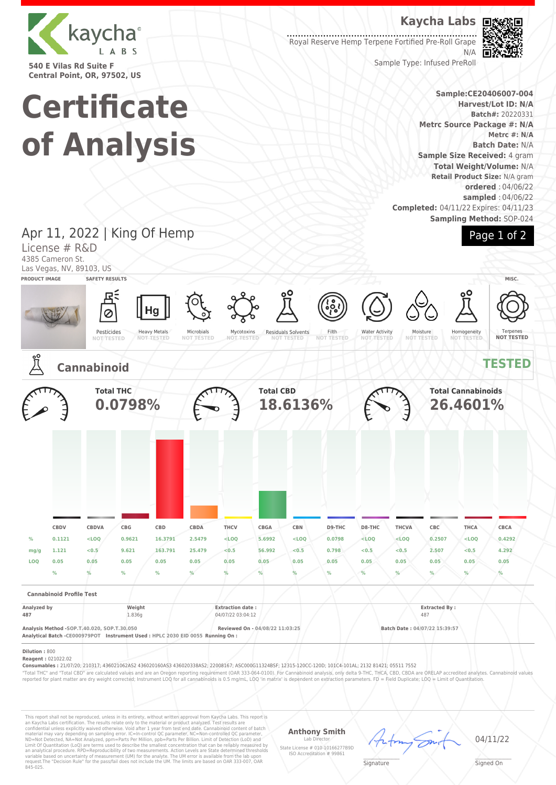

**540 E Vilas Rd Suite F Central Point, OR, 97502, US**

# **Kaycha Labs**

Royal Reserve Hemp Terpene Fortified Pre-Roll Grape N/A



Sample Type: Infused PreRoll

#### **Sample:CE20406007-004 Harvest/Lot ID: N/A Batch#:** 20220331 **Metrc Source Package #: N/A Metrc #: N/A Batch Date:** N/A **Sample Size Received:** 4 gram **Total Weight/Volume:** N/A **Retail Product Size:** N/A gram **ordered** : 04/06/22 **sampled** : 04/06/22 **Completed:** 04/11/22 Expires: 04/11/23 **Sampling Method:** SOP-024



**Certificate of Analysis**

Apr 11, 2022 | King Of Hemp License # R&D 4385 Cameron St. Las Vegas, NV, 89103, US **PRODUCT IMAGE SAFETY RESULTS MISC.** Hg Ø Heavy Metals Pesticides Microbials Residuals Solvents Filth Water Activity Mycotoxins **NOT TESTED** Moisture **NOT TESTED** Homogeneity Terpenes **NOT TESTED NOT TESTED NOT TESTED NOT TESTED NOT TESTED NOT TESTED NOT TESTED Cannabinoid TESTED Total THC Total CBD Total Cannabinoids 0.0798% 18.6136% 26.4601% CBDV CBDVA CBG CBD CBDA THCV CBGA CBN D9-THC D8-THC THCVA CBC THCA CBCA % 0.1121 <LOQ 0.9621 16.3791 2.5479 <LOQ 5.6992 <LOQ 0.0798 <LOQ <LOQ 0.2507 <LOQ 0.4292 mg/g 1.121 <0.5 9.621 163.791 25.479 <0.5 56.992 <0.5 0.798 <0.5 <0.5 2.507 <0.5 4.292 LOQ 0.05 0.05 0.05 0.05 0.05 0.05 0.05 0.05 0.05 0.05 0.05 0.05 0.05 0.05 % % % % % % % % % % % % % % Cannabinoid Profile Test Analyzed by Weight Extraction date : Extracted By : 487** 1.836g 04/07/22 03:04:12 487 487 **Analysis Method -SOP.T.40.020, SOP.T.30.050 Reviewed On - 04/08/22 11:03:25 Batch Date : 04/07/22 15:39:57 Analytical Batch -CE000979POT Instrument Used : HPLC 2030 EID 0055 Running On : Dilution :** 800 **Reagent :** 021022.02 **Consumables :** 21/07/20; 210317; 436021062AS2 436020160AS3 436020338AS2; 22008167; ASC000G11324BSF; 12315-120CC-120D; 101C4-101AL; 2132 81421; 05511 7552 "Total THC" and "Total CBD" are calculated values and are an Oregon reporting requirement (OAR 333-064-0100). For Cannabinoid analysis, only delta 9-THC, THCA, CBD, CBDA are ORELAP accredited analytes. Cannabinoid values<br>r

This report shall not be reproduced, unless in its entirety, without written approval from Kaycha Labs. This report is<br>an Kaycha Labs certification. The results relate only to the material or product analyzed. Test result

**Anthony Smith** Lab Director

State License # 010-10166277B9D ISO Accreditation # 99861

04/11/22

 $\mathscr{L}\setminus\mathscr{L}$ **Signature** 

Signed On